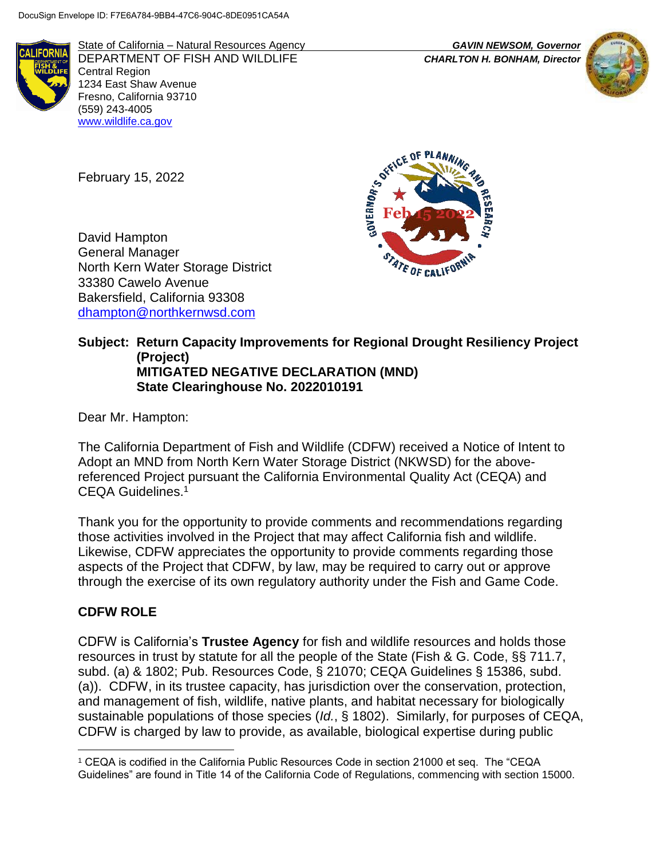

State of California – Natural Resources Agency *GAVIN NEWSOM, Governor* DEPARTMENT OF FISH AND WILDLIFE *CHARLTON H. BONHAM, Director* Central Region 1234 East Shaw Avenue Fresno, California 93710 (559) 243-4005 [www.wildlife.ca.gov](http://www.wildlife.ca.gov/)



February 15, 2022

David Hampton General Manager North Kern Water Storage District 33380 Cawelo Avenue Bakersfield, California 93308 [dhampton@northkernwsd.com](mailto:dhampton@northkernwsd.com)



## **Subject: Return Capacity Improvements for Regional Drought Resiliency Project (Project) MITIGATED NEGATIVE DECLARATION (MND) State Clearinghouse No. 2022010191**

Dear Mr. Hampton:

The California Department of Fish and Wildlife (CDFW) received a Notice of Intent to Adopt an MND from North Kern Water Storage District (NKWSD) for the abovereferenced Project pursuant the California Environmental Quality Act (CEQA) and CEQA Guidelines.<sup>1</sup>

Thank you for the opportunity to provide comments and recommendations regarding those activities involved in the Project that may affect California fish and wildlife. Likewise, CDFW appreciates the opportunity to provide comments regarding those aspects of the Project that CDFW, by law, may be required to carry out or approve through the exercise of its own regulatory authority under the Fish and Game Code.

# **CDFW ROLE**

CDFW is California's **Trustee Agency** for fish and wildlife resources and holds those resources in trust by statute for all the people of the State (Fish & G. Code, §§ 711.7, subd. (a) & 1802; Pub. Resources Code, § 21070; CEQA Guidelines § 15386, subd. (a)). CDFW, in its trustee capacity, has jurisdiction over the conservation, protection, and management of fish, wildlife, native plants, and habitat necessary for biologically sustainable populations of those species (*Id.*, § 1802). Similarly, for purposes of CEQA, CDFW is charged by law to provide, as available, biological expertise during public

 $\overline{a}$ <sup>1</sup> CEQA is codified in the California Public Resources Code in section 21000 et seq. The "CEQA Guidelines" are found in Title 14 of the California Code of Regulations, commencing with section 15000.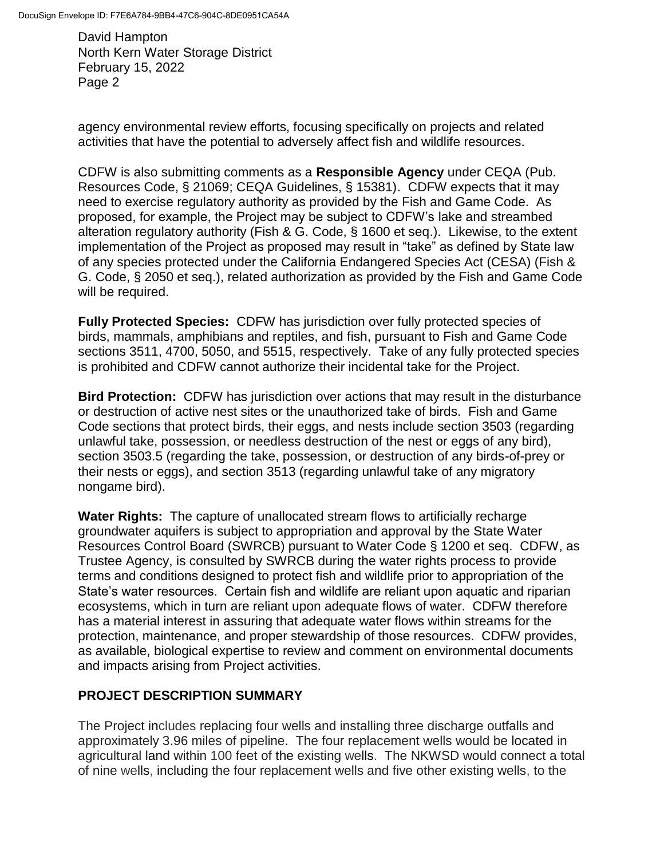agency environmental review efforts, focusing specifically on projects and related activities that have the potential to adversely affect fish and wildlife resources.

CDFW is also submitting comments as a **Responsible Agency** under CEQA (Pub. Resources Code, § 21069; CEQA Guidelines, § 15381). CDFW expects that it may need to exercise regulatory authority as provided by the Fish and Game Code. As proposed, for example, the Project may be subject to CDFW's lake and streambed alteration regulatory authority (Fish & G. Code, § 1600 et seq.). Likewise, to the extent implementation of the Project as proposed may result in "take" as defined by State law of any species protected under the California Endangered Species Act (CESA) (Fish & G. Code, § 2050 et seq.), related authorization as provided by the Fish and Game Code will be required.

**Fully Protected Species:** CDFW has jurisdiction over fully protected species of birds, mammals, amphibians and reptiles, and fish, pursuant to Fish and Game Code sections 3511, 4700, 5050, and 5515, respectively. Take of any fully protected species is prohibited and CDFW cannot authorize their incidental take for the Project.

**Bird Protection:** CDFW has jurisdiction over actions that may result in the disturbance or destruction of active nest sites or the unauthorized take of birds. Fish and Game Code sections that protect birds, their eggs, and nests include section 3503 (regarding unlawful take, possession, or needless destruction of the nest or eggs of any bird), section 3503.5 (regarding the take, possession, or destruction of any birds-of-prey or their nests or eggs), and section 3513 (regarding unlawful take of any migratory nongame bird).

**Water Rights:** The capture of unallocated stream flows to artificially recharge groundwater aquifers is subject to appropriation and approval by the State Water Resources Control Board (SWRCB) pursuant to Water Code § 1200 et seq. CDFW, as Trustee Agency, is consulted by SWRCB during the water rights process to provide terms and conditions designed to protect fish and wildlife prior to appropriation of the State's water resources. Certain fish and wildlife are reliant upon aquatic and riparian ecosystems, which in turn are reliant upon adequate flows of water. CDFW therefore has a material interest in assuring that adequate water flows within streams for the protection, maintenance, and proper stewardship of those resources. CDFW provides, as available, biological expertise to review and comment on environmental documents and impacts arising from Project activities.

# **PROJECT DESCRIPTION SUMMARY**

The Project includes replacing four wells and installing three discharge outfalls and approximately 3.96 miles of pipeline. The four replacement wells would be located in agricultural land within 100 feet of the existing wells. The NKWSD would connect a total of nine wells, including the four replacement wells and five other existing wells, to the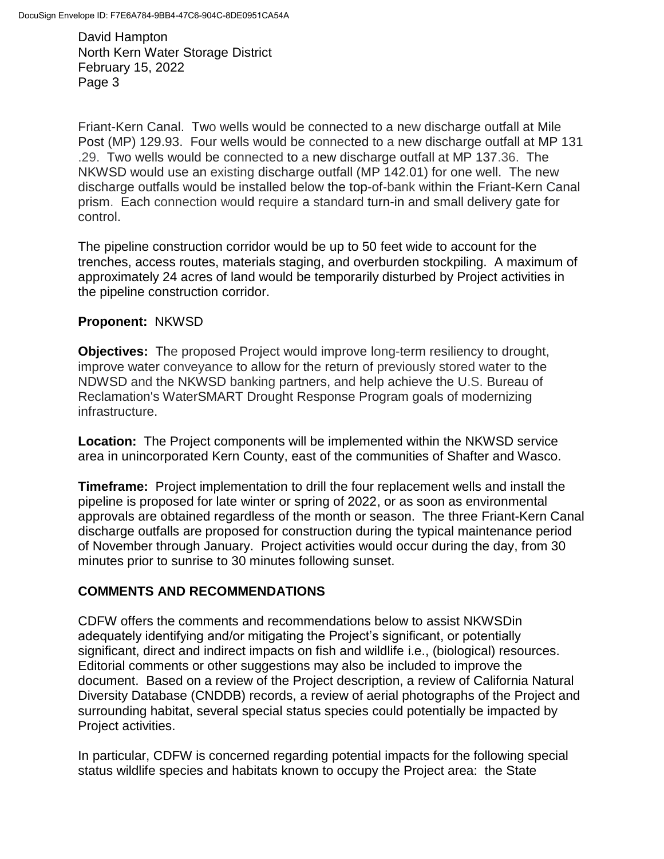Friant-Kern Canal. Two wells would be connected to a new discharge outfall at Mile Post (MP) 129.93. Four wells would be connected to a new discharge outfall at MP 131 .29. Two wells would be connected to a new discharge outfall at MP 137.36. The NKWSD would use an existing discharge outfall (MP 142.01) for one well. The new discharge outfalls would be installed below the top-of-bank within the Friant-Kern Canal prism. Each connection would require a standard turn-in and small delivery gate for control.

The pipeline construction corridor would be up to 50 feet wide to account for the trenches, access routes, materials staging, and overburden stockpiling. A maximum of approximately 24 acres of land would be temporarily disturbed by Project activities in the pipeline construction corridor.

### **Proponent:** NKWSD

**Objectives:** The proposed Project would improve long-term resiliency to drought, improve water conveyance to allow for the return of previously stored water to the NDWSD and the NKWSD banking partners, and help achieve the U.S. Bureau of Reclamation's WaterSMART Drought Response Program goals of modernizing infrastructure.

**Location:** The Project components will be implemented within the NKWSD service area in unincorporated Kern County, east of the communities of Shafter and Wasco.

**Timeframe:** Project implementation to drill the four replacement wells and install the pipeline is proposed for late winter or spring of 2022, or as soon as environmental approvals are obtained regardless of the month or season. The three Friant-Kern Canal discharge outfalls are proposed for construction during the typical maintenance period of November through January. Project activities would occur during the day, from 30 minutes prior to sunrise to 30 minutes following sunset.

### **COMMENTS AND RECOMMENDATIONS**

CDFW offers the comments and recommendations below to assist NKWSDin adequately identifying and/or mitigating the Project's significant, or potentially significant, direct and indirect impacts on fish and wildlife i.e., (biological) resources. Editorial comments or other suggestions may also be included to improve the document. Based on a review of the Project description, a review of California Natural Diversity Database (CNDDB) records, a review of aerial photographs of the Project and surrounding habitat, several special status species could potentially be impacted by Project activities.

In particular, CDFW is concerned regarding potential impacts for the following special status wildlife species and habitats known to occupy the Project area: the State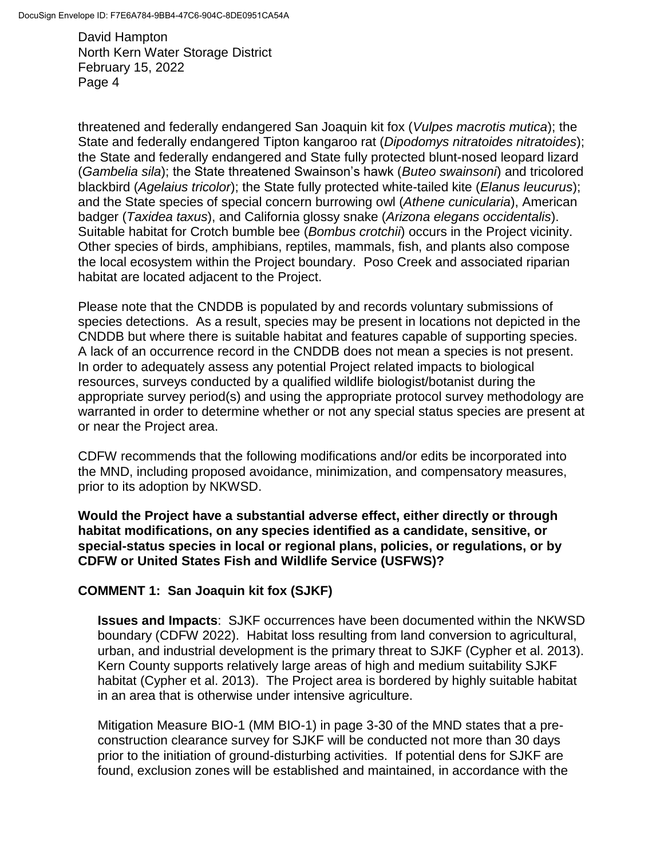threatened and federally endangered San Joaquin kit fox (*Vulpes macrotis mutica*); the State and federally endangered Tipton kangaroo rat (*Dipodomys nitratoides nitratoides*); the State and federally endangered and State fully protected blunt-nosed leopard lizard (*Gambelia sila*); the State threatened Swainson's hawk (*Buteo swainsoni*) and tricolored blackbird (*Agelaius tricolor*); the State fully protected white-tailed kite (*Elanus leucurus*); and the State species of special concern burrowing owl (*Athene cunicularia*), American badger (*Taxidea taxus*), and California glossy snake (*Arizona elegans occidentalis*). Suitable habitat for Crotch bumble bee (*Bombus crotchii*) occurs in the Project vicinity. Other species of birds, amphibians, reptiles, mammals, fish, and plants also compose the local ecosystem within the Project boundary. Poso Creek and associated riparian habitat are located adjacent to the Project.

Please note that the CNDDB is populated by and records voluntary submissions of species detections. As a result, species may be present in locations not depicted in the CNDDB but where there is suitable habitat and features capable of supporting species. A lack of an occurrence record in the CNDDB does not mean a species is not present. In order to adequately assess any potential Project related impacts to biological resources, surveys conducted by a qualified wildlife biologist/botanist during the appropriate survey period(s) and using the appropriate protocol survey methodology are warranted in order to determine whether or not any special status species are present at or near the Project area.

CDFW recommends that the following modifications and/or edits be incorporated into the MND, including proposed avoidance, minimization, and compensatory measures, prior to its adoption by NKWSD.

**Would the Project have a substantial adverse effect, either directly or through habitat modifications, on any species identified as a candidate, sensitive, or special-status species in local or regional plans, policies, or regulations, or by CDFW or United States Fish and Wildlife Service (USFWS)?**

# **COMMENT 1: San Joaquin kit fox (SJKF)**

**Issues and Impacts**: SJKF occurrences have been documented within the NKWSD boundary (CDFW 2022). Habitat loss resulting from land conversion to agricultural, urban, and industrial development is the primary threat to SJKF (Cypher et al. 2013). Kern County supports relatively large areas of high and medium suitability SJKF habitat (Cypher et al. 2013). The Project area is bordered by highly suitable habitat in an area that is otherwise under intensive agriculture.

Mitigation Measure BIO-1 (MM BIO-1) in page 3-30 of the MND states that a preconstruction clearance survey for SJKF will be conducted not more than 30 days prior to the initiation of ground-disturbing activities. If potential dens for SJKF are found, exclusion zones will be established and maintained, in accordance with the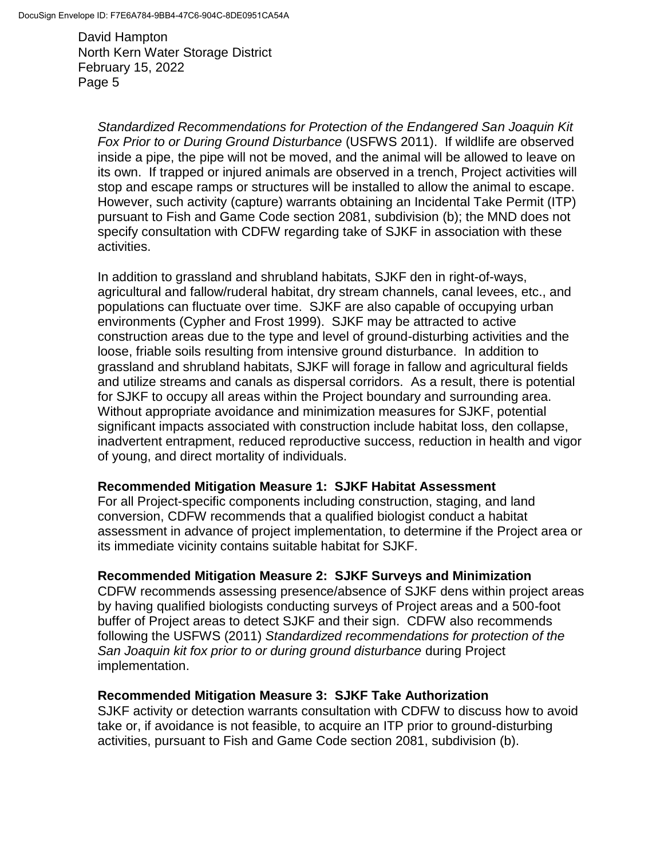*Standardized Recommendations for Protection of the Endangered San Joaquin Kit Fox Prior to or During Ground Disturbance* (USFWS 2011). If wildlife are observed inside a pipe, the pipe will not be moved, and the animal will be allowed to leave on its own. If trapped or injured animals are observed in a trench, Project activities will stop and escape ramps or structures will be installed to allow the animal to escape. However, such activity (capture) warrants obtaining an Incidental Take Permit (ITP) pursuant to Fish and Game Code section 2081, subdivision (b); the MND does not specify consultation with CDFW regarding take of SJKF in association with these activities.

In addition to grassland and shrubland habitats, SJKF den in right-of-ways, agricultural and fallow/ruderal habitat, dry stream channels, canal levees, etc., and populations can fluctuate over time. SJKF are also capable of occupying urban environments (Cypher and Frost 1999). SJKF may be attracted to active construction areas due to the type and level of ground-disturbing activities and the loose, friable soils resulting from intensive ground disturbance. In addition to grassland and shrubland habitats, SJKF will forage in fallow and agricultural fields and utilize streams and canals as dispersal corridors. As a result, there is potential for SJKF to occupy all areas within the Project boundary and surrounding area. Without appropriate avoidance and minimization measures for SJKF, potential significant impacts associated with construction include habitat loss, den collapse, inadvertent entrapment, reduced reproductive success, reduction in health and vigor of young, and direct mortality of individuals.

### **Recommended Mitigation Measure 1: SJKF Habitat Assessment**

For all Project-specific components including construction, staging, and land conversion, CDFW recommends that a qualified biologist conduct a habitat assessment in advance of project implementation, to determine if the Project area or its immediate vicinity contains suitable habitat for SJKF.

#### **Recommended Mitigation Measure 2: SJKF Surveys and Minimization**

CDFW recommends assessing presence/absence of SJKF dens within project areas by having qualified biologists conducting surveys of Project areas and a 500-foot buffer of Project areas to detect SJKF and their sign. CDFW also recommends following the USFWS (2011) *Standardized recommendations for protection of the San Joaquin kit fox prior to or during ground disturbance* during Project implementation.

#### **Recommended Mitigation Measure 3: SJKF Take Authorization**

SJKF activity or detection warrants consultation with CDFW to discuss how to avoid take or, if avoidance is not feasible, to acquire an ITP prior to ground-disturbing activities, pursuant to Fish and Game Code section 2081, subdivision (b).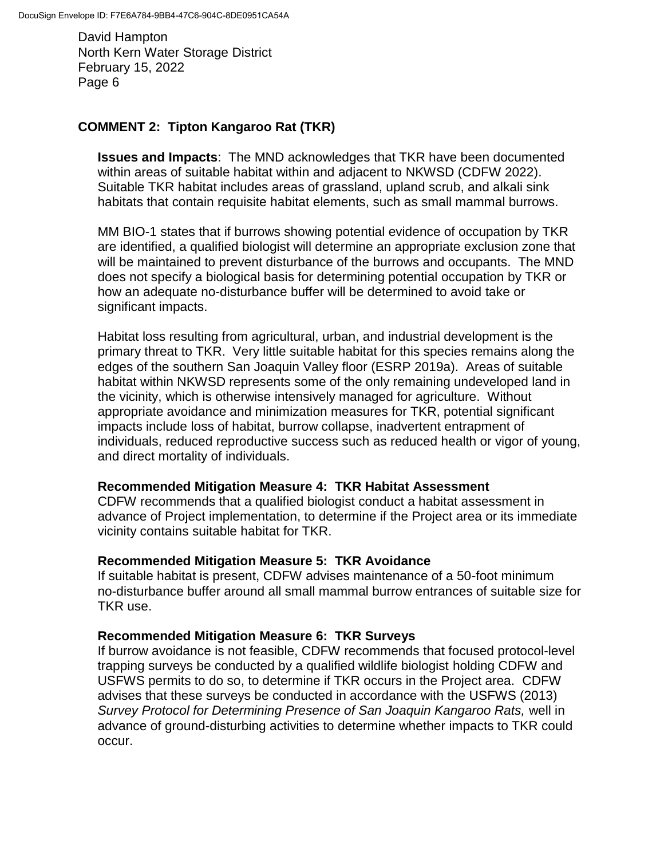## **COMMENT 2: Tipton Kangaroo Rat (TKR)**

**Issues and Impacts**: The MND acknowledges that TKR have been documented within areas of suitable habitat within and adjacent to NKWSD (CDFW 2022). Suitable TKR habitat includes areas of grassland, upland scrub, and alkali sink habitats that contain requisite habitat elements, such as small mammal burrows.

MM BIO-1 states that if burrows showing potential evidence of occupation by TKR are identified, a qualified biologist will determine an appropriate exclusion zone that will be maintained to prevent disturbance of the burrows and occupants. The MND does not specify a biological basis for determining potential occupation by TKR or how an adequate no-disturbance buffer will be determined to avoid take or significant impacts.

Habitat loss resulting from agricultural, urban, and industrial development is the primary threat to TKR. Very little suitable habitat for this species remains along the edges of the southern San Joaquin Valley floor (ESRP 2019a). Areas of suitable habitat within NKWSD represents some of the only remaining undeveloped land in the vicinity, which is otherwise intensively managed for agriculture. Without appropriate avoidance and minimization measures for TKR, potential significant impacts include loss of habitat, burrow collapse, inadvertent entrapment of individuals, reduced reproductive success such as reduced health or vigor of young, and direct mortality of individuals.

### **Recommended Mitigation Measure 4: TKR Habitat Assessment**

CDFW recommends that a qualified biologist conduct a habitat assessment in advance of Project implementation, to determine if the Project area or its immediate vicinity contains suitable habitat for TKR.

#### **Recommended Mitigation Measure 5: TKR Avoidance**

If suitable habitat is present, CDFW advises maintenance of a 50-foot minimum no-disturbance buffer around all small mammal burrow entrances of suitable size for TKR use.

### **Recommended Mitigation Measure 6: TKR Surveys**

If burrow avoidance is not feasible, CDFW recommends that focused protocol-level trapping surveys be conducted by a qualified wildlife biologist holding CDFW and USFWS permits to do so, to determine if TKR occurs in the Project area. CDFW advises that these surveys be conducted in accordance with the USFWS (2013) *Survey Protocol for Determining Presence of San Joaquin Kangaroo Rats,* well in advance of ground-disturbing activities to determine whether impacts to TKR could occur.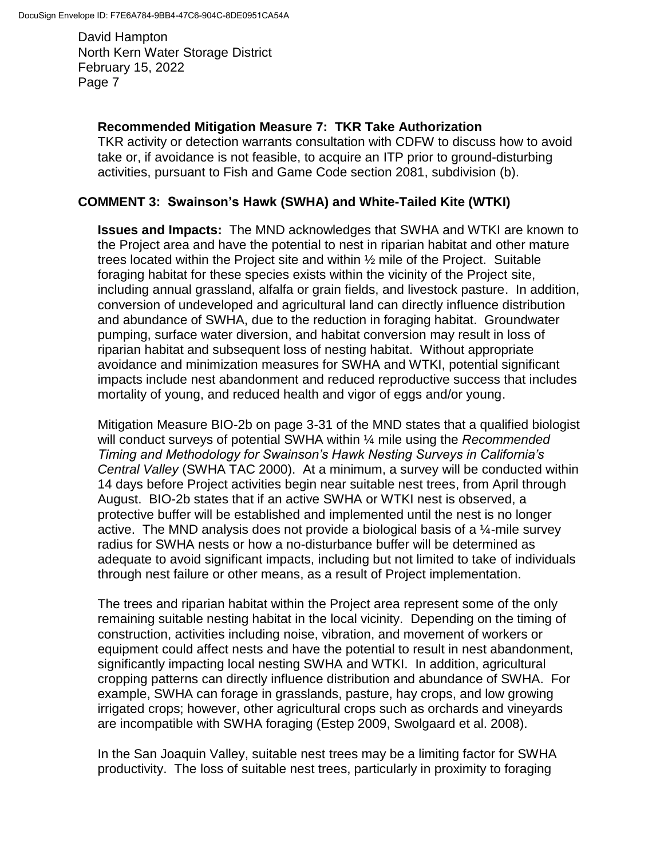### **Recommended Mitigation Measure 7: TKR Take Authorization**

TKR activity or detection warrants consultation with CDFW to discuss how to avoid take or, if avoidance is not feasible, to acquire an ITP prior to ground-disturbing activities, pursuant to Fish and Game Code section 2081, subdivision (b).

## **COMMENT 3: Swainson's Hawk (SWHA) and White-Tailed Kite (WTKI)**

**Issues and Impacts:** The MND acknowledges that SWHA and WTKI are known to the Project area and have the potential to nest in riparian habitat and other mature trees located within the Project site and within ½ mile of the Project. Suitable foraging habitat for these species exists within the vicinity of the Project site, including annual grassland, alfalfa or grain fields, and livestock pasture. In addition, conversion of undeveloped and agricultural land can directly influence distribution and abundance of SWHA, due to the reduction in foraging habitat. Groundwater pumping, surface water diversion, and habitat conversion may result in loss of riparian habitat and subsequent loss of nesting habitat. Without appropriate avoidance and minimization measures for SWHA and WTKI, potential significant impacts include nest abandonment and reduced reproductive success that includes mortality of young, and reduced health and vigor of eggs and/or young.

Mitigation Measure BIO-2b on page 3-31 of the MND states that a qualified biologist will conduct surveys of potential SWHA within ¼ mile using the *Recommended Timing and Methodology for Swainson's Hawk Nesting Surveys in California's Central Valley* (SWHA TAC 2000). At a minimum, a survey will be conducted within 14 days before Project activities begin near suitable nest trees, from April through August. BIO-2b states that if an active SWHA or WTKI nest is observed, a protective buffer will be established and implemented until the nest is no longer active. The MND analysis does not provide a biological basis of a  $\frac{1}{4}$ -mile survey radius for SWHA nests or how a no-disturbance buffer will be determined as adequate to avoid significant impacts, including but not limited to take of individuals through nest failure or other means, as a result of Project implementation.

The trees and riparian habitat within the Project area represent some of the only remaining suitable nesting habitat in the local vicinity. Depending on the timing of construction, activities including noise, vibration, and movement of workers or equipment could affect nests and have the potential to result in nest abandonment, significantly impacting local nesting SWHA and WTKI. In addition, agricultural cropping patterns can directly influence distribution and abundance of SWHA. For example, SWHA can forage in grasslands, pasture, hay crops, and low growing irrigated crops; however, other agricultural crops such as orchards and vineyards are incompatible with SWHA foraging (Estep 2009, Swolgaard et al. 2008).

In the San Joaquin Valley, suitable nest trees may be a limiting factor for SWHA productivity. The loss of suitable nest trees, particularly in proximity to foraging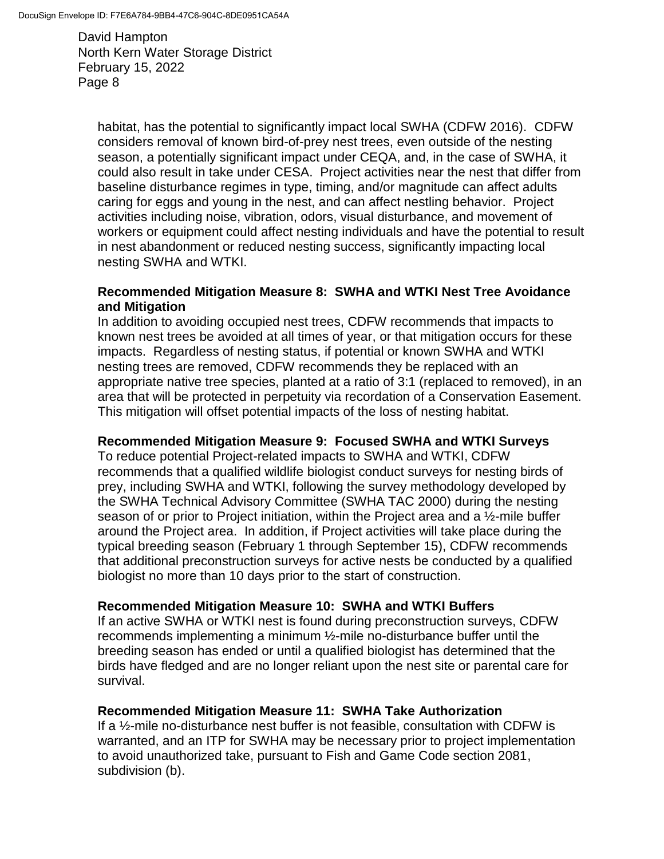habitat, has the potential to significantly impact local SWHA (CDFW 2016). CDFW considers removal of known bird-of-prey nest trees, even outside of the nesting season, a potentially significant impact under CEQA, and, in the case of SWHA, it could also result in take under CESA. Project activities near the nest that differ from baseline disturbance regimes in type, timing, and/or magnitude can affect adults caring for eggs and young in the nest, and can affect nestling behavior. Project activities including noise, vibration, odors, visual disturbance, and movement of workers or equipment could affect nesting individuals and have the potential to result in nest abandonment or reduced nesting success, significantly impacting local nesting SWHA and WTKI.

### **Recommended Mitigation Measure 8: SWHA and WTKI Nest Tree Avoidance and Mitigation**

In addition to avoiding occupied nest trees, CDFW recommends that impacts to known nest trees be avoided at all times of year, or that mitigation occurs for these impacts. Regardless of nesting status, if potential or known SWHA and WTKI nesting trees are removed, CDFW recommends they be replaced with an appropriate native tree species, planted at a ratio of 3:1 (replaced to removed), in an area that will be protected in perpetuity via recordation of a Conservation Easement. This mitigation will offset potential impacts of the loss of nesting habitat.

### **Recommended Mitigation Measure 9: Focused SWHA and WTKI Surveys**

To reduce potential Project-related impacts to SWHA and WTKI, CDFW recommends that a qualified wildlife biologist conduct surveys for nesting birds of prey, including SWHA and WTKI, following the survey methodology developed by the SWHA Technical Advisory Committee (SWHA TAC 2000) during the nesting season of or prior to Project initiation, within the Project area and a ½-mile buffer around the Project area. In addition, if Project activities will take place during the typical breeding season (February 1 through September 15), CDFW recommends that additional preconstruction surveys for active nests be conducted by a qualified biologist no more than 10 days prior to the start of construction.

### **Recommended Mitigation Measure 10: SWHA and WTKI Buffers**

If an active SWHA or WTKI nest is found during preconstruction surveys, CDFW recommends implementing a minimum ½-mile no-disturbance buffer until the breeding season has ended or until a qualified biologist has determined that the birds have fledged and are no longer reliant upon the nest site or parental care for survival.

### **Recommended Mitigation Measure 11: SWHA Take Authorization**

If a ½-mile no-disturbance nest buffer is not feasible, consultation with CDFW is warranted, and an ITP for SWHA may be necessary prior to project implementation to avoid unauthorized take, pursuant to Fish and Game Code section 2081, subdivision (b).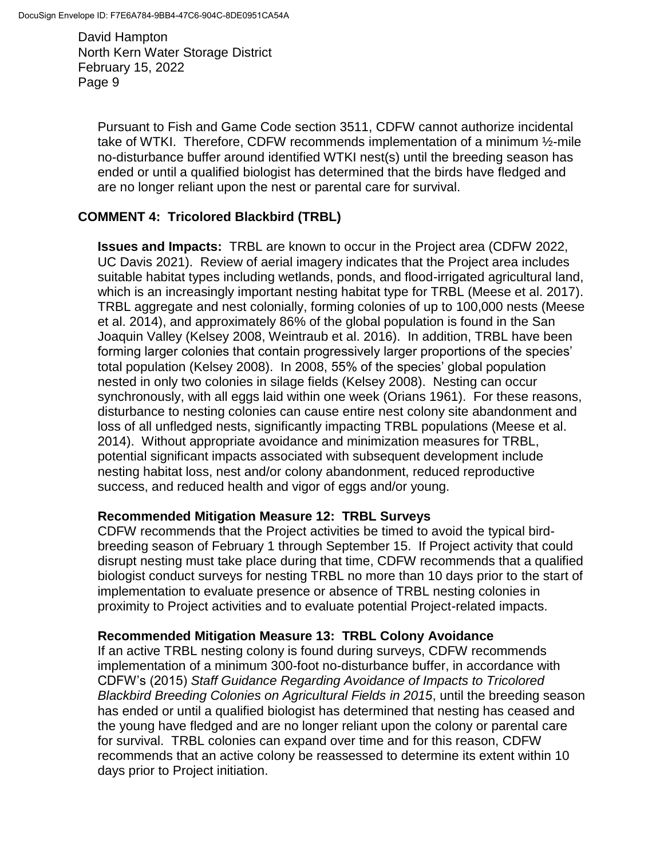> Pursuant to Fish and Game Code section 3511, CDFW cannot authorize incidental take of WTKI. Therefore, CDFW recommends implementation of a minimum ½-mile no-disturbance buffer around identified WTKI nest(s) until the breeding season has ended or until a qualified biologist has determined that the birds have fledged and are no longer reliant upon the nest or parental care for survival.

## **COMMENT 4: Tricolored Blackbird (TRBL)**

**Issues and Impacts:** TRBL are known to occur in the Project area (CDFW 2022, UC Davis 2021). Review of aerial imagery indicates that the Project area includes suitable habitat types including wetlands, ponds, and flood-irrigated agricultural land, which is an increasingly important nesting habitat type for TRBL (Meese et al. 2017). TRBL aggregate and nest colonially, forming colonies of up to 100,000 nests (Meese et al. 2014), and approximately 86% of the global population is found in the San Joaquin Valley (Kelsey 2008, Weintraub et al. 2016). In addition, TRBL have been forming larger colonies that contain progressively larger proportions of the species' total population (Kelsey 2008). In 2008, 55% of the species' global population nested in only two colonies in silage fields (Kelsey 2008). Nesting can occur synchronously, with all eggs laid within one week (Orians 1961). For these reasons, disturbance to nesting colonies can cause entire nest colony site abandonment and loss of all unfledged nests, significantly impacting TRBL populations (Meese et al. 2014). Without appropriate avoidance and minimization measures for TRBL, potential significant impacts associated with subsequent development include nesting habitat loss, nest and/or colony abandonment, reduced reproductive success, and reduced health and vigor of eggs and/or young.

### **Recommended Mitigation Measure 12: TRBL Surveys**

CDFW recommends that the Project activities be timed to avoid the typical birdbreeding season of February 1 through September 15. If Project activity that could disrupt nesting must take place during that time, CDFW recommends that a qualified biologist conduct surveys for nesting TRBL no more than 10 days prior to the start of implementation to evaluate presence or absence of TRBL nesting colonies in proximity to Project activities and to evaluate potential Project-related impacts.

### **Recommended Mitigation Measure 13: TRBL Colony Avoidance**

If an active TRBL nesting colony is found during surveys, CDFW recommends implementation of a minimum 300-foot no-disturbance buffer, in accordance with CDFW's (2015) *Staff Guidance Regarding Avoidance of Impacts to Tricolored Blackbird Breeding Colonies on Agricultural Fields in 2015*, until the breeding season has ended or until a qualified biologist has determined that nesting has ceased and the young have fledged and are no longer reliant upon the colony or parental care for survival. TRBL colonies can expand over time and for this reason, CDFW recommends that an active colony be reassessed to determine its extent within 10 days prior to Project initiation.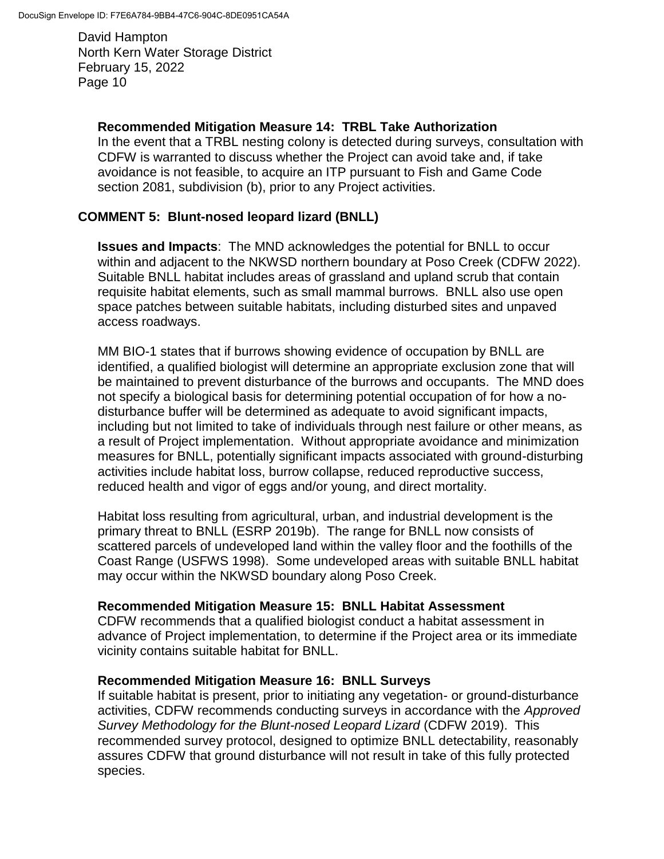### **Recommended Mitigation Measure 14: TRBL Take Authorization**

In the event that a TRBL nesting colony is detected during surveys, consultation with CDFW is warranted to discuss whether the Project can avoid take and, if take avoidance is not feasible, to acquire an ITP pursuant to Fish and Game Code section 2081, subdivision (b), prior to any Project activities.

### **COMMENT 5: Blunt-nosed leopard lizard (BNLL)**

**Issues and Impacts**: The MND acknowledges the potential for BNLL to occur within and adjacent to the NKWSD northern boundary at Poso Creek (CDFW 2022). Suitable BNLL habitat includes areas of grassland and upland scrub that contain requisite habitat elements, such as small mammal burrows. BNLL also use open space patches between suitable habitats, including disturbed sites and unpaved access roadways.

MM BIO-1 states that if burrows showing evidence of occupation by BNLL are identified, a qualified biologist will determine an appropriate exclusion zone that will be maintained to prevent disturbance of the burrows and occupants. The MND does not specify a biological basis for determining potential occupation of for how a nodisturbance buffer will be determined as adequate to avoid significant impacts, including but not limited to take of individuals through nest failure or other means, as a result of Project implementation. Without appropriate avoidance and minimization measures for BNLL, potentially significant impacts associated with ground-disturbing activities include habitat loss, burrow collapse, reduced reproductive success, reduced health and vigor of eggs and/or young, and direct mortality.

Habitat loss resulting from agricultural, urban, and industrial development is the primary threat to BNLL (ESRP 2019b). The range for BNLL now consists of scattered parcels of undeveloped land within the valley floor and the foothills of the Coast Range (USFWS 1998). Some undeveloped areas with suitable BNLL habitat may occur within the NKWSD boundary along Poso Creek.

### **Recommended Mitigation Measure 15: BNLL Habitat Assessment**

CDFW recommends that a qualified biologist conduct a habitat assessment in advance of Project implementation, to determine if the Project area or its immediate vicinity contains suitable habitat for BNLL.

#### **Recommended Mitigation Measure 16: BNLL Surveys**

If suitable habitat is present, prior to initiating any vegetation- or ground-disturbance activities, CDFW recommends conducting surveys in accordance with the *Approved Survey Methodology for the Blunt-nosed Leopard Lizard* (CDFW 2019). This recommended survey protocol, designed to optimize BNLL detectability, reasonably assures CDFW that ground disturbance will not result in take of this fully protected species.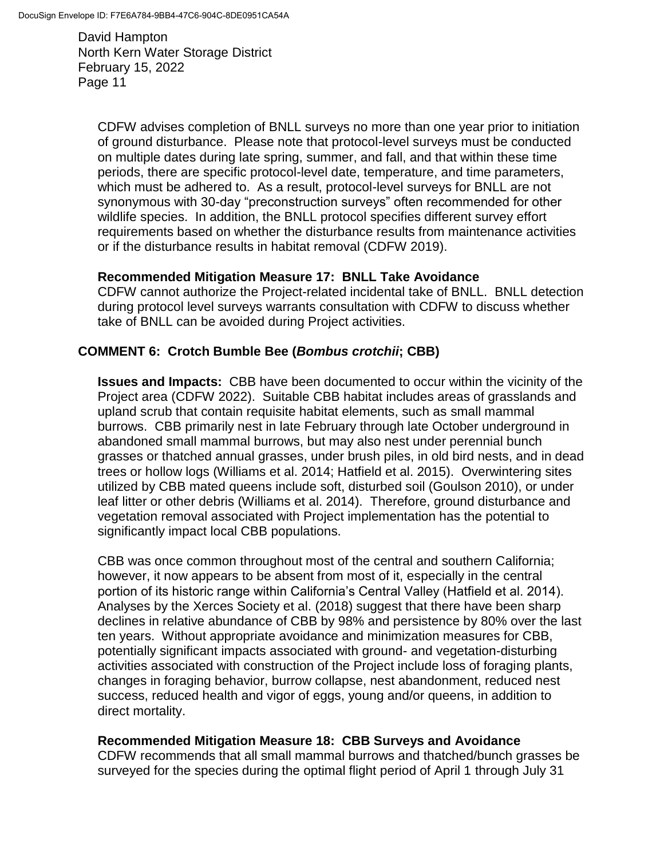CDFW advises completion of BNLL surveys no more than one year prior to initiation of ground disturbance. Please note that protocol-level surveys must be conducted on multiple dates during late spring, summer, and fall, and that within these time periods, there are specific protocol-level date, temperature, and time parameters, which must be adhered to. As a result, protocol-level surveys for BNLL are not synonymous with 30-day "preconstruction surveys" often recommended for other wildlife species. In addition, the BNLL protocol specifies different survey effort requirements based on whether the disturbance results from maintenance activities or if the disturbance results in habitat removal (CDFW 2019).

### **Recommended Mitigation Measure 17: BNLL Take Avoidance**

CDFW cannot authorize the Project-related incidental take of BNLL. BNLL detection during protocol level surveys warrants consultation with CDFW to discuss whether take of BNLL can be avoided during Project activities.

## **COMMENT 6: Crotch Bumble Bee (***Bombus crotchii***; CBB)**

**Issues and Impacts:** CBB have been documented to occur within the vicinity of the Project area (CDFW 2022). Suitable CBB habitat includes areas of grasslands and upland scrub that contain requisite habitat elements, such as small mammal burrows. CBB primarily nest in late February through late October underground in abandoned small mammal burrows, but may also nest under perennial bunch grasses or thatched annual grasses, under brush piles, in old bird nests, and in dead trees or hollow logs (Williams et al. 2014; Hatfield et al. 2015). Overwintering sites utilized by CBB mated queens include soft, disturbed soil (Goulson 2010), or under leaf litter or other debris (Williams et al. 2014). Therefore, ground disturbance and vegetation removal associated with Project implementation has the potential to significantly impact local CBB populations.

CBB was once common throughout most of the central and southern California; however, it now appears to be absent from most of it, especially in the central portion of its historic range within California's Central Valley (Hatfield et al. 2014). Analyses by the Xerces Society et al. (2018) suggest that there have been sharp declines in relative abundance of CBB by 98% and persistence by 80% over the last ten years. Without appropriate avoidance and minimization measures for CBB, potentially significant impacts associated with ground- and vegetation-disturbing activities associated with construction of the Project include loss of foraging plants, changes in foraging behavior, burrow collapse, nest abandonment, reduced nest success, reduced health and vigor of eggs, young and/or queens, in addition to direct mortality.

### **Recommended Mitigation Measure 18: CBB Surveys and Avoidance**

CDFW recommends that all small mammal burrows and thatched/bunch grasses be surveyed for the species during the optimal flight period of April 1 through July 31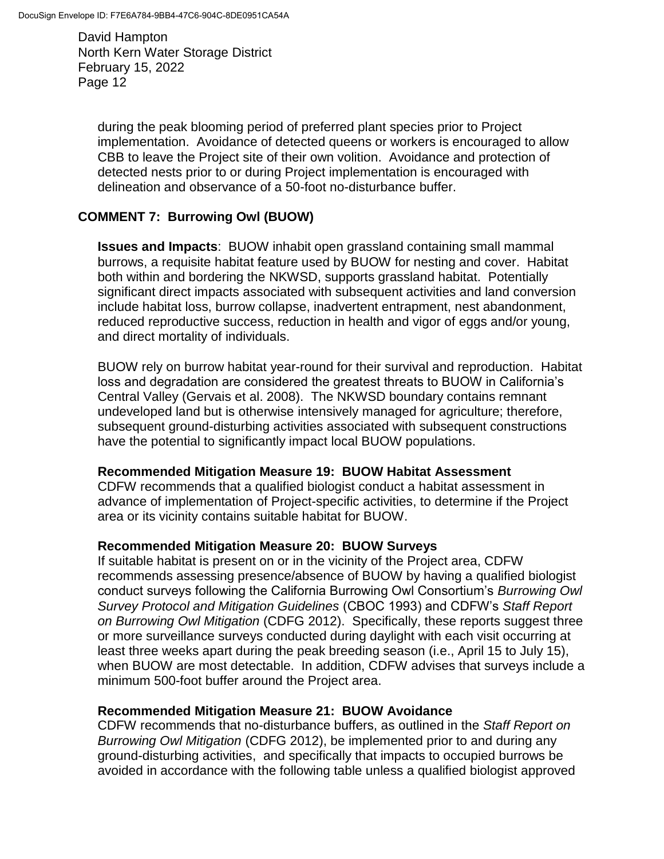during the peak blooming period of preferred plant species prior to Project implementation. Avoidance of detected queens or workers is encouraged to allow CBB to leave the Project site of their own volition. Avoidance and protection of detected nests prior to or during Project implementation is encouraged with delineation and observance of a 50-foot no-disturbance buffer.

## **COMMENT 7: Burrowing Owl (BUOW)**

**Issues and Impacts**: BUOW inhabit open grassland containing small mammal burrows, a requisite habitat feature used by BUOW for nesting and cover. Habitat both within and bordering the NKWSD, supports grassland habitat. Potentially significant direct impacts associated with subsequent activities and land conversion include habitat loss, burrow collapse, inadvertent entrapment, nest abandonment, reduced reproductive success, reduction in health and vigor of eggs and/or young, and direct mortality of individuals.

BUOW rely on burrow habitat year-round for their survival and reproduction. Habitat loss and degradation are considered the greatest threats to BUOW in California's Central Valley (Gervais et al. 2008). The NKWSD boundary contains remnant undeveloped land but is otherwise intensively managed for agriculture; therefore, subsequent ground-disturbing activities associated with subsequent constructions have the potential to significantly impact local BUOW populations.

#### **Recommended Mitigation Measure 19: BUOW Habitat Assessment**

CDFW recommends that a qualified biologist conduct a habitat assessment in advance of implementation of Project-specific activities, to determine if the Project area or its vicinity contains suitable habitat for BUOW.

### **Recommended Mitigation Measure 20: BUOW Surveys**

If suitable habitat is present on or in the vicinity of the Project area, CDFW recommends assessing presence/absence of BUOW by having a qualified biologist conduct surveys following the California Burrowing Owl Consortium's *Burrowing Owl Survey Protocol and Mitigation Guidelines* (CBOC 1993) and CDFW's *Staff Report on Burrowing Owl Mitigation* (CDFG 2012). Specifically, these reports suggest three or more surveillance surveys conducted during daylight with each visit occurring at least three weeks apart during the peak breeding season (i.e., April 15 to July 15), when BUOW are most detectable. In addition, CDFW advises that surveys include a minimum 500-foot buffer around the Project area.

### **Recommended Mitigation Measure 21: BUOW Avoidance**

CDFW recommends that no-disturbance buffers, as outlined in the *Staff Report on Burrowing Owl Mitigation* (CDFG 2012), be implemented prior to and during any ground-disturbing activities, and specifically that impacts to occupied burrows be avoided in accordance with the following table unless a qualified biologist approved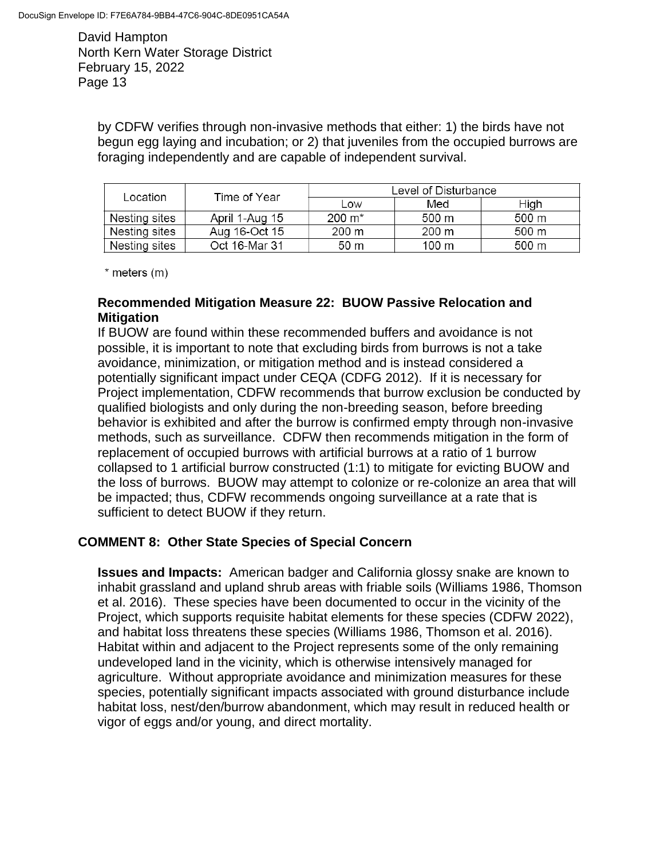> by CDFW verifies through non-invasive methods that either: 1) the birds have not begun egg laying and incubation; or 2) that juveniles from the occupied burrows are foraging independently and are capable of independent survival.

| Location      | Time of Year   | Level of Disturbance |       |       |
|---------------|----------------|----------------------|-------|-------|
|               |                | Low                  | Med   | High  |
| Nesting sites | April 1-Aug 15 | $200 \; \text{m}^*$  | 500 m | 500 m |
| Nesting sites | Aug 16-Oct 15  | 200 m                | 200 m | 500 m |
| Nesting sites | Oct 16-Mar 31  | 50 m                 | 100 m | 500 m |

\* meters (m)

### **Recommended Mitigation Measure 22: BUOW Passive Relocation and Mitigation**

If BUOW are found within these recommended buffers and avoidance is not possible, it is important to note that excluding birds from burrows is not a take avoidance, minimization, or mitigation method and is instead considered a potentially significant impact under CEQA (CDFG 2012). If it is necessary for Project implementation, CDFW recommends that burrow exclusion be conducted by qualified biologists and only during the non-breeding season, before breeding behavior is exhibited and after the burrow is confirmed empty through non-invasive methods, such as surveillance. CDFW then recommends mitigation in the form of replacement of occupied burrows with artificial burrows at a ratio of 1 burrow collapsed to 1 artificial burrow constructed (1:1) to mitigate for evicting BUOW and the loss of burrows. BUOW may attempt to colonize or re-colonize an area that will be impacted; thus, CDFW recommends ongoing surveillance at a rate that is sufficient to detect BUOW if they return.

### **COMMENT 8: Other State Species of Special Concern**

**Issues and Impacts:** American badger and California glossy snake are known to inhabit grassland and upland shrub areas with friable soils (Williams 1986, Thomson et al. 2016). These species have been documented to occur in the vicinity of the Project, which supports requisite habitat elements for these species (CDFW 2022), and habitat loss threatens these species (Williams 1986, Thomson et al. 2016). Habitat within and adjacent to the Project represents some of the only remaining undeveloped land in the vicinity, which is otherwise intensively managed for agriculture. Without appropriate avoidance and minimization measures for these species, potentially significant impacts associated with ground disturbance include habitat loss, nest/den/burrow abandonment, which may result in reduced health or vigor of eggs and/or young, and direct mortality.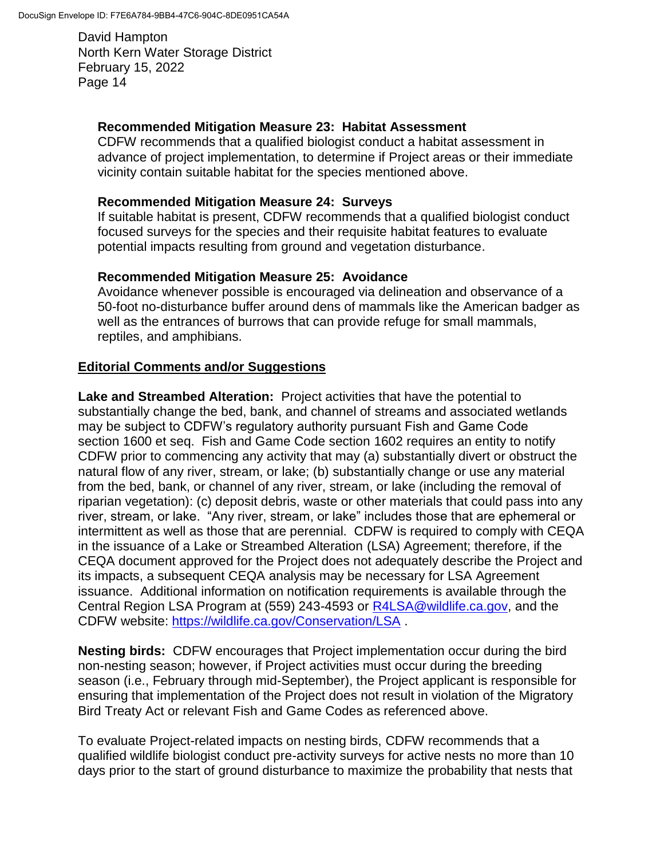### **Recommended Mitigation Measure 23: Habitat Assessment**

CDFW recommends that a qualified biologist conduct a habitat assessment in advance of project implementation, to determine if Project areas or their immediate vicinity contain suitable habitat for the species mentioned above.

### **Recommended Mitigation Measure 24: Surveys**

If suitable habitat is present, CDFW recommends that a qualified biologist conduct focused surveys for the species and their requisite habitat features to evaluate potential impacts resulting from ground and vegetation disturbance.

### **Recommended Mitigation Measure 25: Avoidance**

Avoidance whenever possible is encouraged via delineation and observance of a 50-foot no-disturbance buffer around dens of mammals like the American badger as well as the entrances of burrows that can provide refuge for small mammals, reptiles, and amphibians.

### **Editorial Comments and/or Suggestions**

**Lake and Streambed Alteration:** Project activities that have the potential to substantially change the bed, bank, and channel of streams and associated wetlands may be subject to CDFW's regulatory authority pursuant Fish and Game Code section 1600 et seq. Fish and Game Code section 1602 requires an entity to notify CDFW prior to commencing any activity that may (a) substantially divert or obstruct the natural flow of any river, stream, or lake; (b) substantially change or use any material from the bed, bank, or channel of any river, stream, or lake (including the removal of riparian vegetation): (c) deposit debris, waste or other materials that could pass into any river, stream, or lake. "Any river, stream, or lake" includes those that are ephemeral or intermittent as well as those that are perennial. CDFW is required to comply with CEQA in the issuance of a Lake or Streambed Alteration (LSA) Agreement; therefore, if the CEQA document approved for the Project does not adequately describe the Project and its impacts, a subsequent CEQA analysis may be necessary for LSA Agreement issuance. Additional information on notification requirements is available through the Central Region LSA Program at (559) 243-4593 or [R4LSA@wildlife.ca.gov,](mailto:R4LSA@wildlife.ca.gov) and the CDFW website:<https://wildlife.ca.gov/Conservation/LSA> .

**Nesting birds:** CDFW encourages that Project implementation occur during the bird non-nesting season; however, if Project activities must occur during the breeding season (i.e., February through mid-September), the Project applicant is responsible for ensuring that implementation of the Project does not result in violation of the Migratory Bird Treaty Act or relevant Fish and Game Codes as referenced above.

To evaluate Project-related impacts on nesting birds, CDFW recommends that a qualified wildlife biologist conduct pre-activity surveys for active nests no more than 10 days prior to the start of ground disturbance to maximize the probability that nests that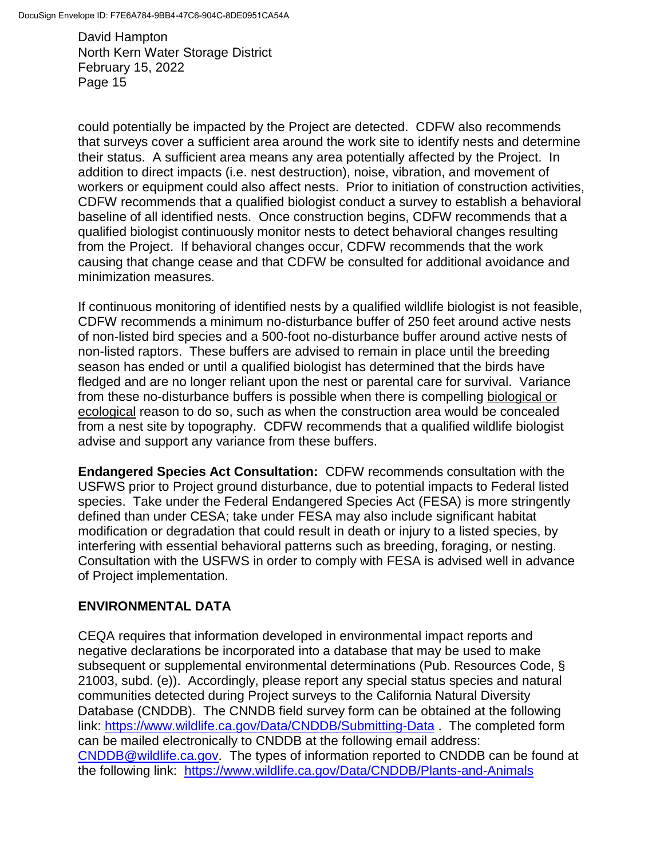could potentially be impacted by the Project are detected. CDFW also recommends that surveys cover a sufficient area around the work site to identify nests and determine their status. A sufficient area means any area potentially affected by the Project. In addition to direct impacts (i.e. nest destruction), noise, vibration, and movement of workers or equipment could also affect nests. Prior to initiation of construction activities, CDFW recommends that a qualified biologist conduct a survey to establish a behavioral baseline of all identified nests. Once construction begins, CDFW recommends that a qualified biologist continuously monitor nests to detect behavioral changes resulting from the Project. If behavioral changes occur, CDFW recommends that the work causing that change cease and that CDFW be consulted for additional avoidance and minimization measures.

If continuous monitoring of identified nests by a qualified wildlife biologist is not feasible, CDFW recommends a minimum no-disturbance buffer of 250 feet around active nests of non-listed bird species and a 500-foot no-disturbance buffer around active nests of non-listed raptors. These buffers are advised to remain in place until the breeding season has ended or until a qualified biologist has determined that the birds have fledged and are no longer reliant upon the nest or parental care for survival. Variance from these no-disturbance buffers is possible when there is compelling biological or ecological reason to do so, such as when the construction area would be concealed from a nest site by topography. CDFW recommends that a qualified wildlife biologist advise and support any variance from these buffers.

**Endangered Species Act Consultation:** CDFW recommends consultation with the USFWS prior to Project ground disturbance, due to potential impacts to Federal listed species. Take under the Federal Endangered Species Act (FESA) is more stringently defined than under CESA; take under FESA may also include significant habitat modification or degradation that could result in death or injury to a listed species, by interfering with essential behavioral patterns such as breeding, foraging, or nesting. Consultation with the USFWS in order to comply with FESA is advised well in advance of Project implementation.

# **ENVIRONMENTAL DATA**

CEQA requires that information developed in environmental impact reports and negative declarations be incorporated into a database that may be used to make subsequent or supplemental environmental determinations (Pub. Resources Code, § 21003, subd. (e)). Accordingly, please report any special status species and natural communities detected during Project surveys to the California Natural Diversity Database (CNDDB). The CNNDB field survey form can be obtained at the following link:<https://www.wildlife.ca.gov/Data/CNDDB/Submitting-Data> . The completed form can be mailed electronically to CNDDB at the following email address: [CNDDB@wildlife.ca.gov.](mailto:cnddb@dfg.ca.gov) The types of information reported to CNDDB can be found at the following link: <https://www.wildlife.ca.gov/Data/CNDDB/Plants-and-Animals>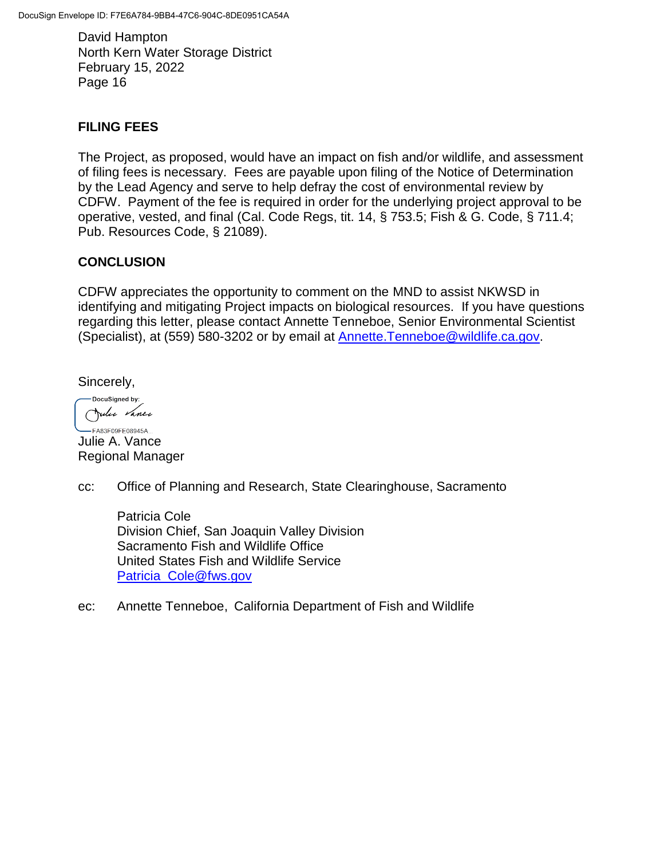## **FILING FEES**

The Project, as proposed, would have an impact on fish and/or wildlife, and assessment of filing fees is necessary. Fees are payable upon filing of the Notice of Determination by the Lead Agency and serve to help defray the cost of environmental review by CDFW. Payment of the fee is required in order for the underlying project approval to be operative, vested, and final (Cal. Code Regs, tit. 14, § 753.5; Fish & G. Code, § 711.4; Pub. Resources Code, § 21089).

## **CONCLUSION**

CDFW appreciates the opportunity to comment on the MND to assist NKWSD in identifying and mitigating Project impacts on biological resources. If you have questions regarding this letter, please contact Annette Tenneboe, Senior Environmental Scientist (Specialist), at (559) 580-3202 or by email at [Annette.Tenneboe@wildlife.ca.gov.](mailto:Annette.Tenneboe@wildlife.ca.gov)

Sincerely,

-DocuSigned by: Julie Vance

-FA83F09FE08945A... Julie A. Vance Regional Manager

cc: Office of Planning and Research, State Clearinghouse, Sacramento

Patricia Cole Division Chief, San Joaquin Valley Division Sacramento Fish and Wildlife Office United States Fish and Wildlife Service [Patricia\\_Cole@fws.gov](mailto:Patricia_Cole@fws.gov)

ec: Annette Tenneboe, California Department of Fish and Wildlife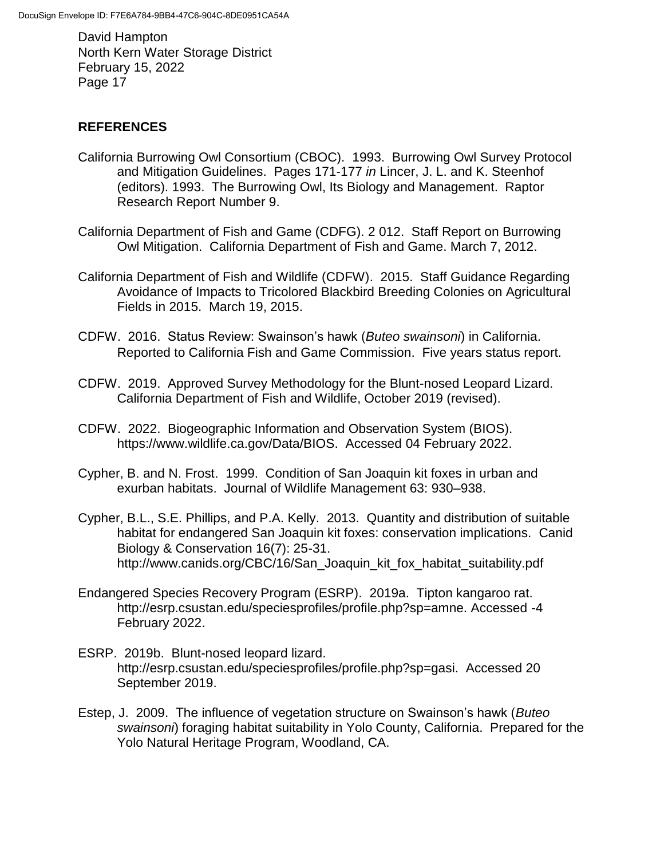# **REFERENCES**

- California Burrowing Owl Consortium (CBOC). 1993. Burrowing Owl Survey Protocol and Mitigation Guidelines. Pages 171-177 *in* Lincer, J. L. and K. Steenhof (editors). 1993. The Burrowing Owl, Its Biology and Management. Raptor Research Report Number 9.
- California Department of Fish and Game (CDFG). 2 012. Staff Report on Burrowing Owl Mitigation. California Department of Fish and Game. March 7, 2012.
- California Department of Fish and Wildlife (CDFW). 2015. Staff Guidance Regarding Avoidance of Impacts to Tricolored Blackbird Breeding Colonies on Agricultural Fields in 2015. March 19, 2015.
- CDFW. 2016. Status Review: Swainson's hawk (*Buteo swainsoni*) in California. Reported to California Fish and Game Commission. Five years status report.
- CDFW. 2019. Approved Survey Methodology for the Blunt-nosed Leopard Lizard. California Department of Fish and Wildlife, October 2019 (revised).
- CDFW. 2022. Biogeographic Information and Observation System (BIOS). https://www.wildlife.ca.gov/Data/BIOS. Accessed 04 February 2022.
- Cypher, B. and N. Frost. 1999. Condition of San Joaquin kit foxes in urban and exurban habitats. Journal of Wildlife Management 63: 930–938.
- Cypher, B.L., S.E. Phillips, and P.A. Kelly. 2013. Quantity and distribution of suitable habitat for endangered San Joaquin kit foxes: conservation implications. Canid Biology & Conservation 16(7): 25-31. http://www.canids.org/CBC/16/San\_Joaquin\_kit\_fox\_habitat\_suitability.pdf
- Endangered Species Recovery Program (ESRP). 2019a. Tipton kangaroo rat. http://esrp.csustan.edu/speciesprofiles/profile.php?sp=amne. Accessed -4 February 2022.
- ESRP. 2019b. Blunt-nosed leopard lizard. http://esrp.csustan.edu/speciesprofiles/profile.php?sp=gasi. Accessed 20 September 2019.
- Estep, J. 2009. The influence of vegetation structure on Swainson's hawk (*Buteo swainsoni*) foraging habitat suitability in Yolo County, California. Prepared for the Yolo Natural Heritage Program, Woodland, CA.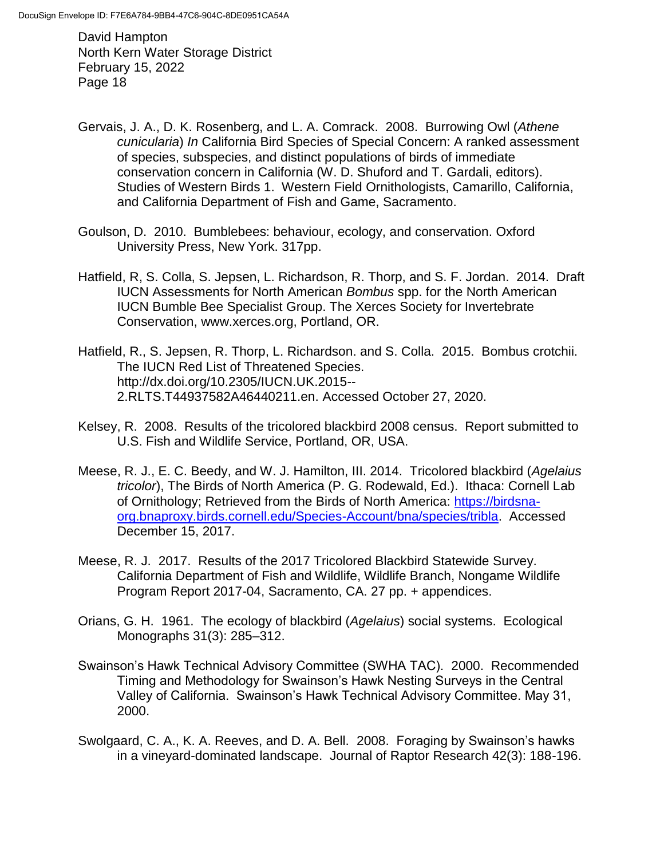- Gervais, J. A., D. K. Rosenberg, and L. A. Comrack. 2008. Burrowing Owl (*Athene cunicularia*) *In* California Bird Species of Special Concern: A ranked assessment of species, subspecies, and distinct populations of birds of immediate conservation concern in California (W. D. Shuford and T. Gardali, editors). Studies of Western Birds 1. Western Field Ornithologists, Camarillo, California, and California Department of Fish and Game, Sacramento.
- Goulson, D. 2010. Bumblebees: behaviour, ecology, and conservation. Oxford University Press, New York. 317pp.
- Hatfield, R, S. Colla, S. Jepsen, L. Richardson, R. Thorp, and S. F. Jordan. 2014. Draft IUCN Assessments for North American *Bombus* spp. for the North American IUCN Bumble Bee Specialist Group. The Xerces Society for Invertebrate Conservation, www.xerces.org, Portland, OR.
- Hatfield, R., S. Jepsen, R. Thorp, L. Richardson. and S. Colla. 2015. Bombus crotchii. The IUCN Red List of Threatened Species. http://dx.doi.org/10.2305/IUCN.UK.2015-- 2.RLTS.T44937582A46440211.en. Accessed October 27, 2020.
- Kelsey, R. 2008. Results of the tricolored blackbird 2008 census. Report submitted to U.S. Fish and Wildlife Service, Portland, OR, USA.
- Meese, R. J., E. C. Beedy, and W. J. Hamilton, III. 2014. Tricolored blackbird (*Agelaius tricolor*), The Birds of North America (P. G. Rodewald, Ed.). Ithaca: Cornell Lab of Ornithology; Retrieved from the Birds of North America: [https://birdsna](https://birdsna-org.bnaproxy.birds.cornell.edu/Species-Account/bna/species/tribla)[org.bnaproxy.birds.cornell.edu/Species-Account/bna/species/tribla.](https://birdsna-org.bnaproxy.birds.cornell.edu/Species-Account/bna/species/tribla) Accessed December 15, 2017.
- Meese, R. J. 2017. Results of the 2017 Tricolored Blackbird Statewide Survey. California Department of Fish and Wildlife, Wildlife Branch, Nongame Wildlife Program Report 2017-04, Sacramento, CA. 27 pp. + appendices.
- Orians, G. H. 1961. The ecology of blackbird (*Agelaius*) social systems. Ecological Monographs 31(3): 285–312.
- Swainson's Hawk Technical Advisory Committee (SWHA TAC). 2000. Recommended Timing and Methodology for Swainson's Hawk Nesting Surveys in the Central Valley of California. Swainson's Hawk Technical Advisory Committee. May 31, 2000.
- Swolgaard, C. A., K. A. Reeves, and D. A. Bell. 2008. Foraging by Swainson's hawks in a vineyard-dominated landscape. Journal of Raptor Research 42(3): 188-196.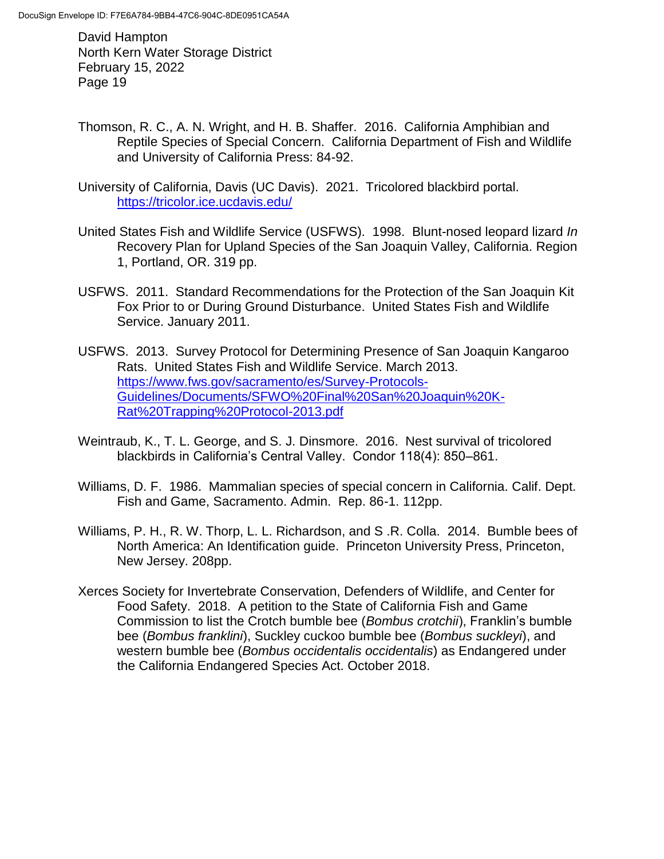- Thomson, R. C., A. N. Wright, and H. B. Shaffer. 2016. California Amphibian and Reptile Species of Special Concern. California Department of Fish and Wildlife and University of California Press: 84-92.
- University of California, Davis (UC Davis). 2021. Tricolored blackbird portal. <https://tricolor.ice.ucdavis.edu/>
- United States Fish and Wildlife Service (USFWS). 1998. Blunt-nosed leopard lizard *In*  Recovery Plan for Upland Species of the San Joaquin Valley, California. Region 1, Portland, OR. 319 pp.
- USFWS. 2011. Standard Recommendations for the Protection of the San Joaquin Kit Fox Prior to or During Ground Disturbance. United States Fish and Wildlife Service. January 2011.
- USFWS. 2013. Survey Protocol for Determining Presence of San Joaquin Kangaroo Rats. United States Fish and Wildlife Service. March 2013. [https://www.fws.gov/sacramento/es/Survey-Protocols-](https://www.fws.gov/sacramento/es/Survey-Protocols-Guidelines/Documents/SFWO%20Final%20San%20Joaquin%20K-Rat%20Trapping%20Protocol-2013.pdf)[Guidelines/Documents/SFWO%20Final%20San%20Joaquin%20K-](https://www.fws.gov/sacramento/es/Survey-Protocols-Guidelines/Documents/SFWO%20Final%20San%20Joaquin%20K-Rat%20Trapping%20Protocol-2013.pdf)[Rat%20Trapping%20Protocol-2013.pdf](https://www.fws.gov/sacramento/es/Survey-Protocols-Guidelines/Documents/SFWO%20Final%20San%20Joaquin%20K-Rat%20Trapping%20Protocol-2013.pdf)
- Weintraub, K., T. L. George, and S. J. Dinsmore. 2016. Nest survival of tricolored blackbirds in California's Central Valley. Condor 118(4): 850–861.
- Williams, D. F. 1986. Mammalian species of special concern in California. Calif. Dept. Fish and Game, Sacramento. Admin. Rep. 86-1. 112pp.
- Williams, P. H., R. W. Thorp, L. L. Richardson, and S .R. Colla. 2014. Bumble bees of North America: An Identification guide. Princeton University Press, Princeton, New Jersey. 208pp.
- Xerces Society for Invertebrate Conservation, Defenders of Wildlife, and Center for Food Safety. 2018. A petition to the State of California Fish and Game Commission to list the Crotch bumble bee (*Bombus crotchii*), Franklin's bumble bee (*Bombus franklini*), Suckley cuckoo bumble bee (*Bombus suckleyi*), and western bumble bee (*Bombus occidentalis occidentalis*) as Endangered under the California Endangered Species Act. October 2018.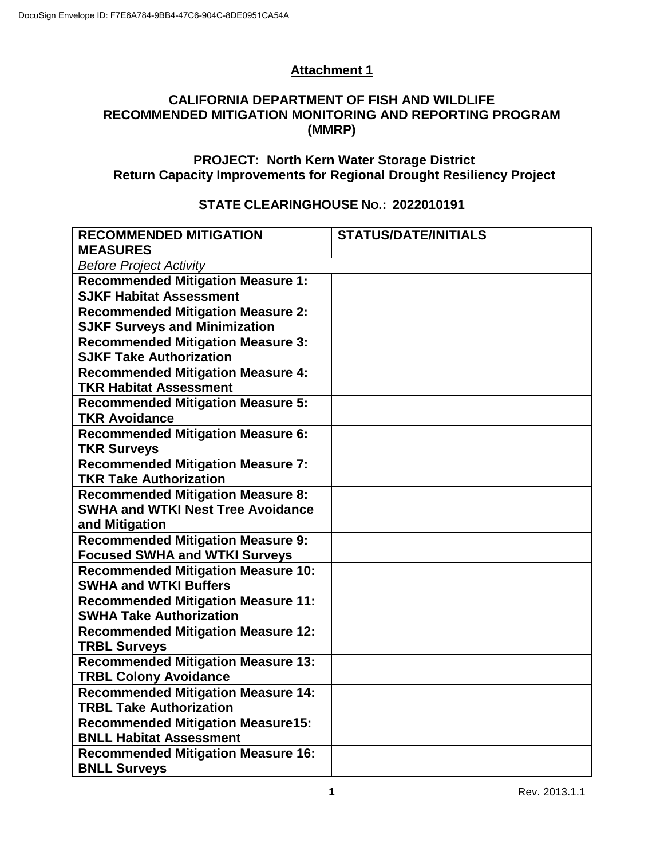# **Attachment 1**

### **CALIFORNIA DEPARTMENT OF FISH AND WILDLIFE RECOMMENDED MITIGATION MONITORING AND REPORTING PROGRAM (MMRP)**

# **PROJECT: North Kern Water Storage District Return Capacity Improvements for Regional Drought Resiliency Project**

# **STATE CLEARINGHOUSE NO.: 2022010191**

| <b>RECOMMENDED MITIGATION</b>                                              | <b>STATUS/DATE/INITIALS</b> |  |  |  |
|----------------------------------------------------------------------------|-----------------------------|--|--|--|
| <b>MEASURES</b>                                                            |                             |  |  |  |
| <b>Before Project Activity</b>                                             |                             |  |  |  |
| <b>Recommended Mitigation Measure 1:</b>                                   |                             |  |  |  |
| <b>SJKF Habitat Assessment</b>                                             |                             |  |  |  |
| <b>Recommended Mitigation Measure 2:</b>                                   |                             |  |  |  |
| <b>SJKF Surveys and Minimization</b>                                       |                             |  |  |  |
| <b>Recommended Mitigation Measure 3:</b>                                   |                             |  |  |  |
| <b>SJKF Take Authorization</b>                                             |                             |  |  |  |
| <b>Recommended Mitigation Measure 4:</b>                                   |                             |  |  |  |
| <b>TKR Habitat Assessment</b>                                              |                             |  |  |  |
| <b>Recommended Mitigation Measure 5:</b>                                   |                             |  |  |  |
| <b>TKR Avoidance</b>                                                       |                             |  |  |  |
| <b>Recommended Mitigation Measure 6:</b>                                   |                             |  |  |  |
| <b>TKR Surveys</b>                                                         |                             |  |  |  |
| <b>Recommended Mitigation Measure 7:</b>                                   |                             |  |  |  |
| <b>TKR Take Authorization</b>                                              |                             |  |  |  |
| <b>Recommended Mitigation Measure 8:</b>                                   |                             |  |  |  |
| <b>SWHA and WTKI Nest Tree Avoidance</b>                                   |                             |  |  |  |
| and Mitigation                                                             |                             |  |  |  |
| <b>Recommended Mitigation Measure 9:</b>                                   |                             |  |  |  |
| <b>Focused SWHA and WTKI Surveys</b>                                       |                             |  |  |  |
| <b>Recommended Mitigation Measure 10:</b>                                  |                             |  |  |  |
| <b>SWHA and WTKI Buffers</b>                                               |                             |  |  |  |
| <b>Recommended Mitigation Measure 11:</b>                                  |                             |  |  |  |
| <b>SWHA Take Authorization</b>                                             |                             |  |  |  |
| <b>Recommended Mitigation Measure 12:</b>                                  |                             |  |  |  |
| <b>TRBL Surveys</b>                                                        |                             |  |  |  |
| <b>Recommended Mitigation Measure 13:</b>                                  |                             |  |  |  |
| <b>TRBL Colony Avoidance</b>                                               |                             |  |  |  |
| <b>Recommended Mitigation Measure 14:</b>                                  |                             |  |  |  |
| <b>TRBL Take Authorization</b>                                             |                             |  |  |  |
| <b>Recommended Mitigation Measure15:</b><br><b>BNLL Habitat Assessment</b> |                             |  |  |  |
|                                                                            |                             |  |  |  |
| <b>Recommended Mitigation Measure 16:</b>                                  |                             |  |  |  |
| <b>BNLL Surveys</b>                                                        |                             |  |  |  |